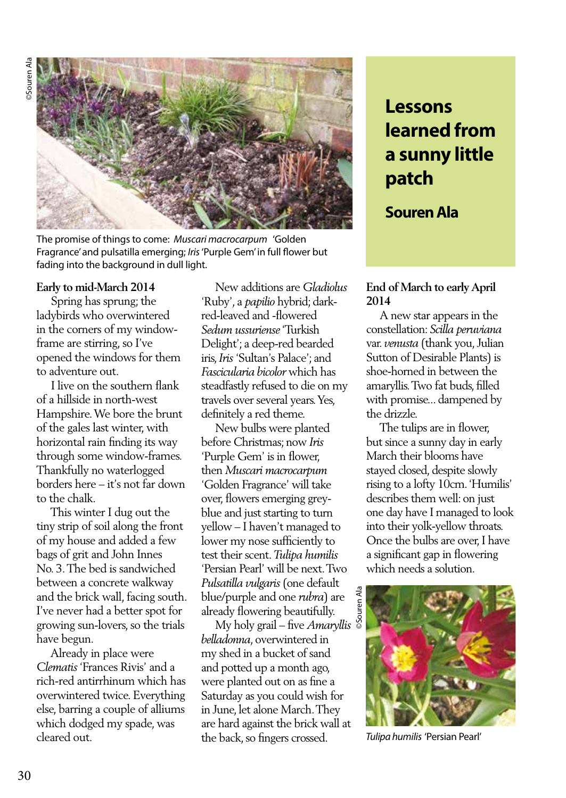

The promise of things to come: *Muscari macrocarpum* 'Golden Fragrance' and pulsatilla emerging; *Iris* 'Purple Gem' in full flower but fading into the background in dull light.

## **Early to mid-March 2014**

 Spring has sprung; the ladybirds who overwintered in the corners of my windowframe are stirring, so I've opened the windows for them to adventure out.

 I live on the southern flank of a hillside in north-west Hampshire. We bore the brunt of the gales last winter, with horizontal rain finding its way through some window-frames. Thankfully no waterlogged borders here – it's not far down to the chalk.

 This winter I dug out the tiny strip of soil along the front of my house and added a few bags of grit and John Innes No. 3. The bed is sandwiched between a concrete walkway and the brick wall, facing south. I've never had a better spot for growing sun-lovers, so the trials have begun.

 Already in place were *Clematis* 'Frances Rivis' and a rich-red antirrhinum which has overwintered twice. Everything else, barring a couple of alliums which dodged my spade, was cleared out.

 New additions are *Gladiolus*  'Ruby', a *papilio* hybrid; darkred-leaved and -flowered *Sedum ussuriense* 'Turkish Delight'; a deep-red bearded iris, *Iris* 'Sultan's Palace'; and *Fascicularia bicolor* which has steadfastly refused to die on my travels over several years. Yes, definitely a red theme.

 New bulbs were planted before Christmas; now *Iris*  'Purple Gem' is in flower, then *Muscari macrocarpum* 'Golden Fragrance' will take over, flowers emerging greyblue and just starting to turn yellow – I haven't managed to lower my nose sufficiently to test their scent. *Tulipa humilis*  'Persian Pearl' will be next. Two *Pulsatilla vulgaris* (one default blue/purple and one *rubra*) are already flowering beautifully.

 My holy grail – five *Amaryllis belladonna*, overwintered in my shed in a bucket of sand and potted up a month ago, were planted out on as fine a Saturday as you could wish for in June, let alone March. They are hard against the brick wall at the back, so fingers crossed.

# **Lessons learned from a sunny little patch**

# **Souren Ala**

## **End of March to early April 2014**

 A new star appears in the constellation: *Scilla peruviana* var. *venusta* (thank you, Julian Sutton of Desirable Plants) is shoe-horned in between the amaryllis. Two fat buds, filled with promise... dampened by the drizzle.

 The tulips are in flower, but since a sunny day in early March their blooms have stayed closed, despite slowly rising to a lofty 10cm. 'Humilis' describes them well: on just one day have I managed to look into their yolk-yellow throats. Once the bulbs are over, I have a significant gap in flowering which needs a solution.



*Tulipa humilis* 'Persian Pearl'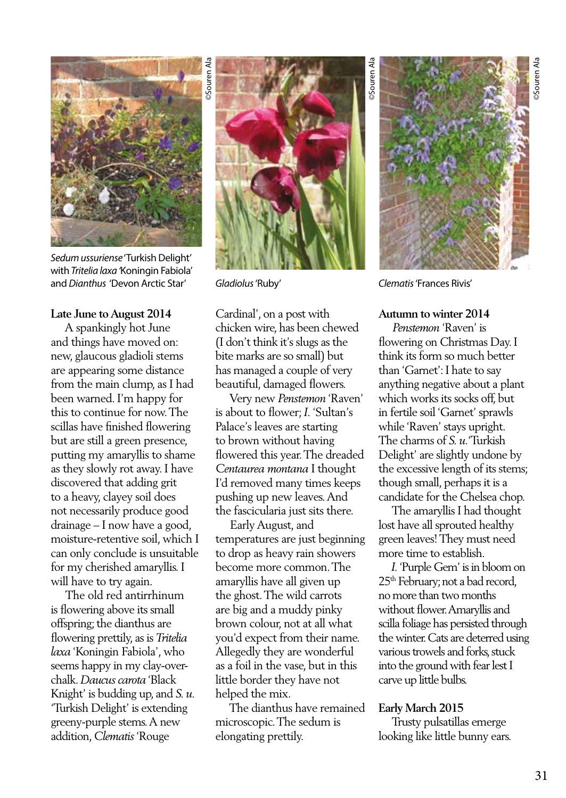

*Sedum ussuriense* 'Turkish Delight' with *Tritelia laxa '*Koningin Fabiola' and *Dianthus* 'Devon Arctic Star'

#### **Late June to August 2014**

 A spankingly hot June and things have moved on: new, glaucous gladioli stems are appearing some distance from the main clump, as I had been warned. I'm happy for this to continue for now. The scillas have finished flowering but are still a green presence, putting my amaryllis to shame as they slowly rot away. I have discovered that adding grit to a heavy, clayey soil does not necessarily produce good drainage – I now have a good, moisture-retentive soil, which I can only conclude is unsuitable for my cherished amaryllis. I will have to try again.

 The old red antirrhinum is flowering above its small offspring; the dianthus are flowering prettily, as is *Tritelia laxa* 'Koningin Fabiola', who seems happy in my clay-overchalk. *Daucus carota* 'Black Knight' is budding up, and *S. u.* 'Turkish Delight' is extending greeny-purple stems. A new addition, *Clematis* 'Rouge



*Gladiolus* 'Ruby' *Clematis* 'Frances Rivis'

Cardinal', on a post with chicken wire, has been chewed (I don't think it's slugs as the bite marks are so small) but has managed a couple of very beautiful, damaged flowers.

 Very new *Penstemon* 'Raven' is about to flower; *I.* 'Sultan's Palace's leaves are starting to brown without having flowered this year. The dreaded *Centaurea montana* I thought I'd removed many times keeps pushing up new leaves. And the fascicularia just sits there.

 Early August, and temperatures are just beginning to drop as heavy rain showers become more common. The amaryllis have all given up the ghost. The wild carrots are big and a muddy pinky brown colour, not at all what you'd expect from their name. Allegedly they are wonderful as a foil in the vase, but in this little border they have not helped the mix.

 The dianthus have remained microscopic. The sedum is elongating prettily.

# **Autumn to winter 2014**

 *Penstemon* 'Raven' is flowering on Christmas Day. I think its form so much better than 'Garnet': I hate to say anything negative about a plant which works its socks off, but in fertile soil 'Garnet' sprawls while 'Raven' stays upright. The charms of *S. u.*'Turkish Delight' are slightly undone by the excessive length of its stems; though small, perhaps it is a candidate for the Chelsea chop.

 The amaryllis I had thought lost have all sprouted healthy green leaves! They must need more time to establish.

 *I.* 'Purple Gem' is in bloom on 25<sup>th</sup> February; not a bad record, no more than two months without flower. Amaryllis and scilla foliage has persisted through the winter. Cats are deterred using various trowels and forks, stuck into the ground with fear lest I carve up little bulbs.

#### **Early March 2015**

 Trusty pulsatillas emerge looking like little bunny ears.